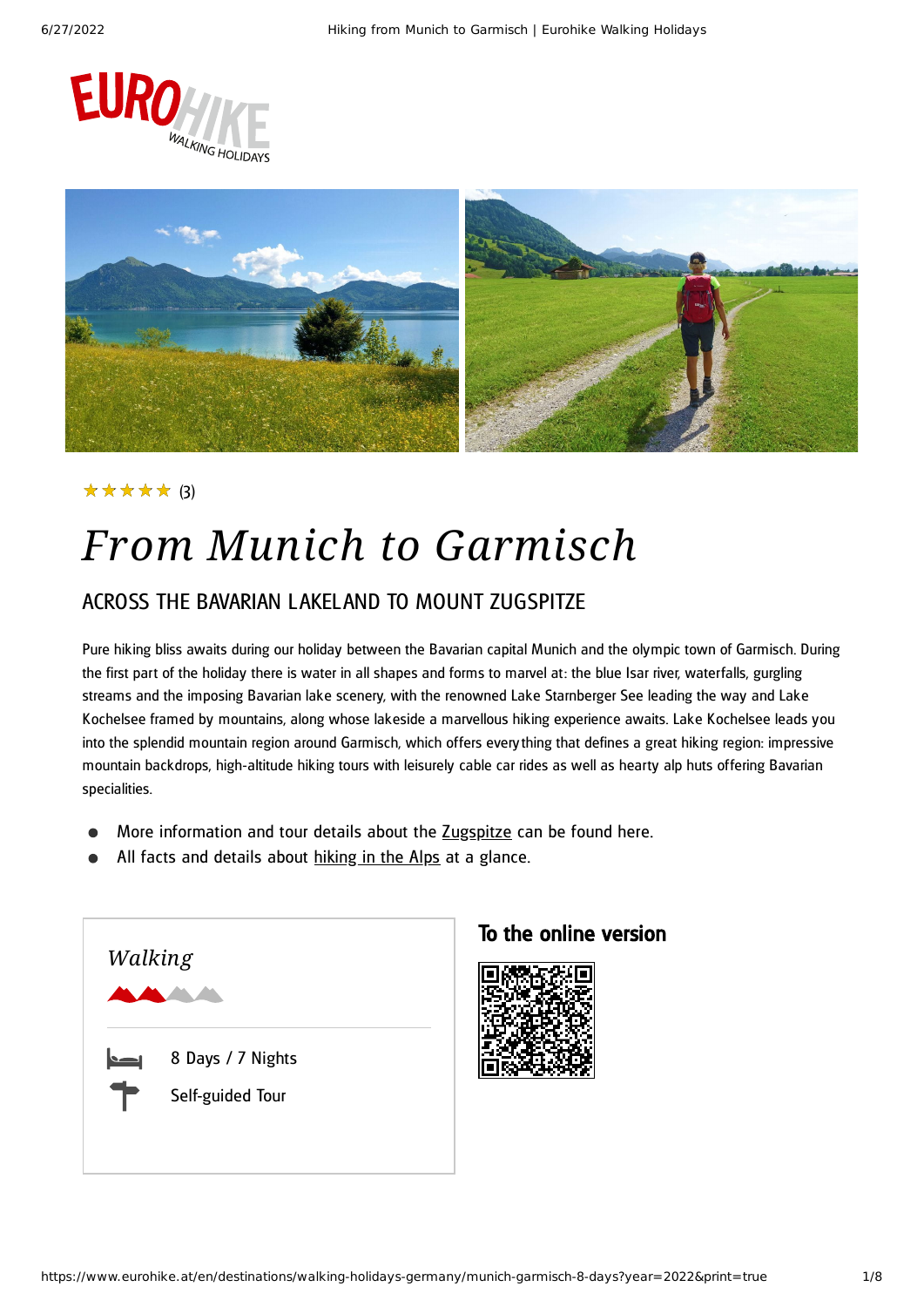



#### ★★★★★ (3)

# *From Munich to Garmisch*

#### ACROSS THE BAVARIAN LAKELAND TO MOUNT ZUGSPITZE

Pure hiking bliss awaits during our holiday between the Bavarian capital Munich and the olympic town of Garmisch. During the first part of the holiday there is water in all shapes and forms to marvel at: the blue Isar river, waterfalls, gurgling streams and the imposing Bavarian lake scenery, with the renowned Lake Starnberger See leading the way and Lake Kochelsee framed by mountains, along whose lakeside a marvellous hiking experience awaits. Lake Kochelsee leads you into the splendid mountain region around Garmisch, which offers everything that defines a great hiking region: impressive mountain backdrops, high-altitude hiking tours with leisurely cable car rides as well as hearty alp huts offering Bavarian specialities.

- More information and tour details about the [Zugspitze](https://www.eurohike.at/en/destinations/walking-holidays-germany/bavaria/zugspitze) can be found here.
- All facts and details about [hiking](https://www.eurohike.at/en/walking-holidays/inspirations/hiking-alpine-region/hiking-alps) in the Alps at a glance.



#### To the online version

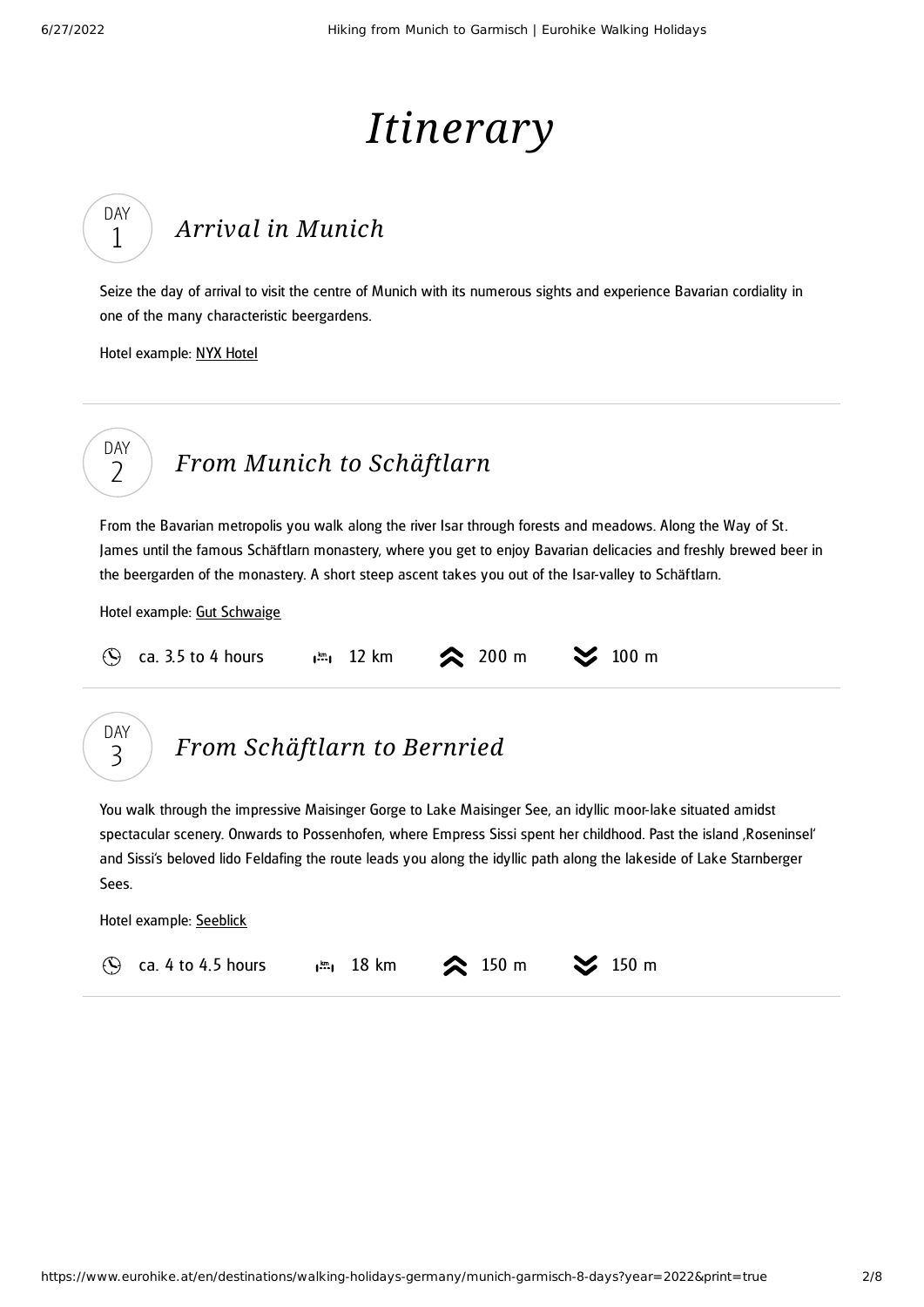DAY 1

DAY  $\overline{\phantom{0}}$ 

# *Itinerary*

### *Arrival in [Munich](#page-1-0)*

<span id="page-1-0"></span>Seize the day of arrival to visit the centre of Munich with its numerous sights and experience Bavarian cordiality in one of the many characteristic beergardens.

Hotel example: NYX [Hotel](http://www.nyx-hotels.com/munich)

### *From Munich to [Schäftlarn](#page-1-1)*

<span id="page-1-1"></span>From the Bavarian metropolis you walk along the river Isar through forests and meadows. Along the Way of St. James until the famous Schäftlarn monastery, where you get to enjoy Bavarian delicacies and freshly brewed beer in the beergarden of the monastery. A short steep ascent takes you out of the Isar-valley to Schäftlarn.

Hotel example: Gut [Schwaige](https://hotel-gutschwaige.de/en/)

| $\circ$ ca. 3.5 to 4 hours | $\frac{1}{2}$ 12 km $\approx$ 200 m $\approx$ 100 m |  |
|----------------------------|-----------------------------------------------------|--|
|                            |                                                     |  |



### *From [Schäftlarn](#page-1-2) to Bernried*

<span id="page-1-2"></span>You walk through the impressive Maisinger Gorge to Lake Maisinger See, an idyllic moor-lake situated amidst spectacular scenery. Onwards to Possenhofen, where Empress Sissi spent her childhood. Past the island ,Roseninsel' and Sissi's beloved lido Feldafing the route leads you along the idyllic path along the lakeside of Lake Starnberger Sees.

Hotel example: [Seeblick](https://www.seeblick-bernried.de/)

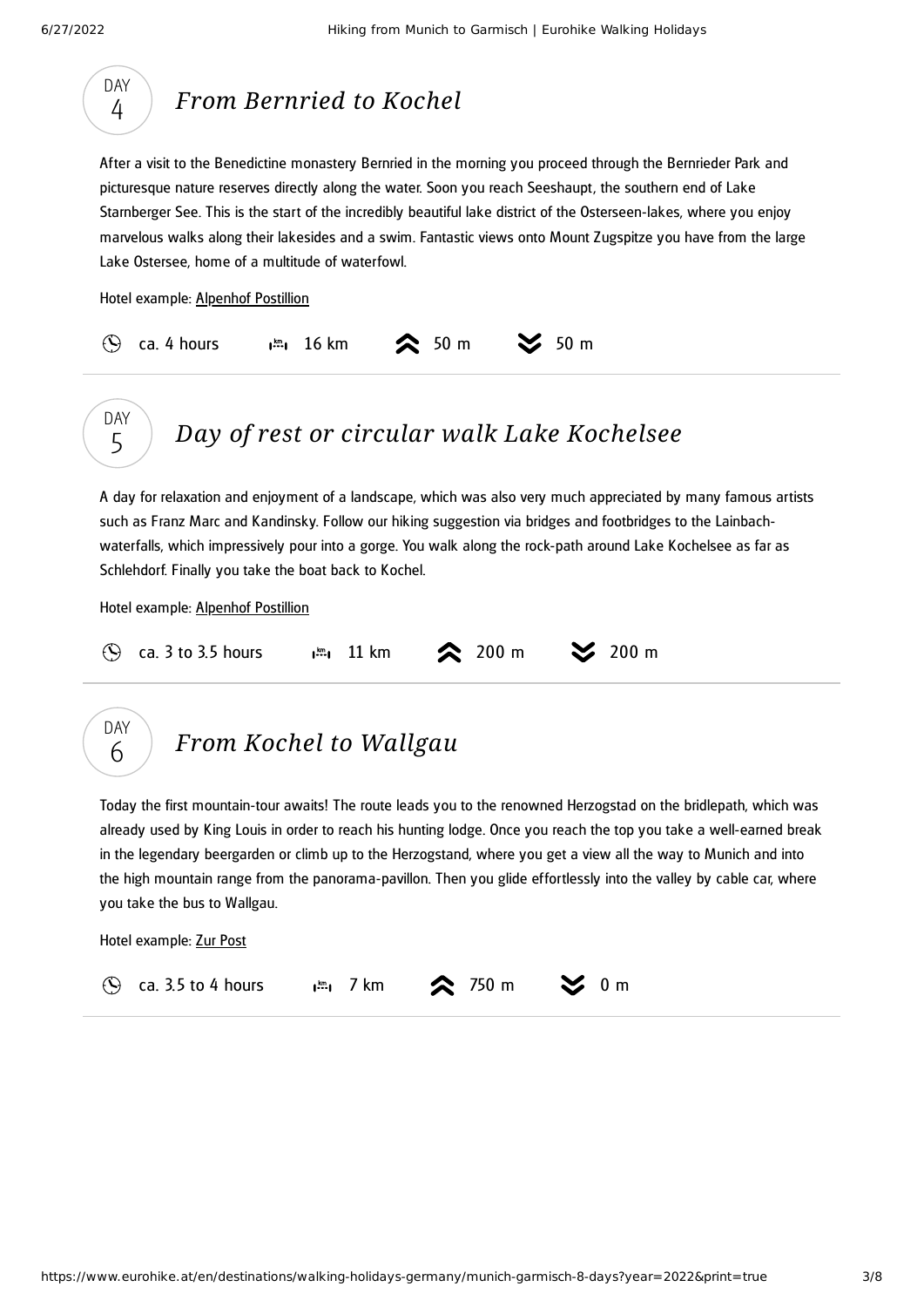<span id="page-2-1"></span><span id="page-2-0"></span>

<span id="page-2-2"></span> $\odot$  ca. 3.5 to 4 hours  $\Box$  7 km  $\odot$  750 m  $\odot$  0 m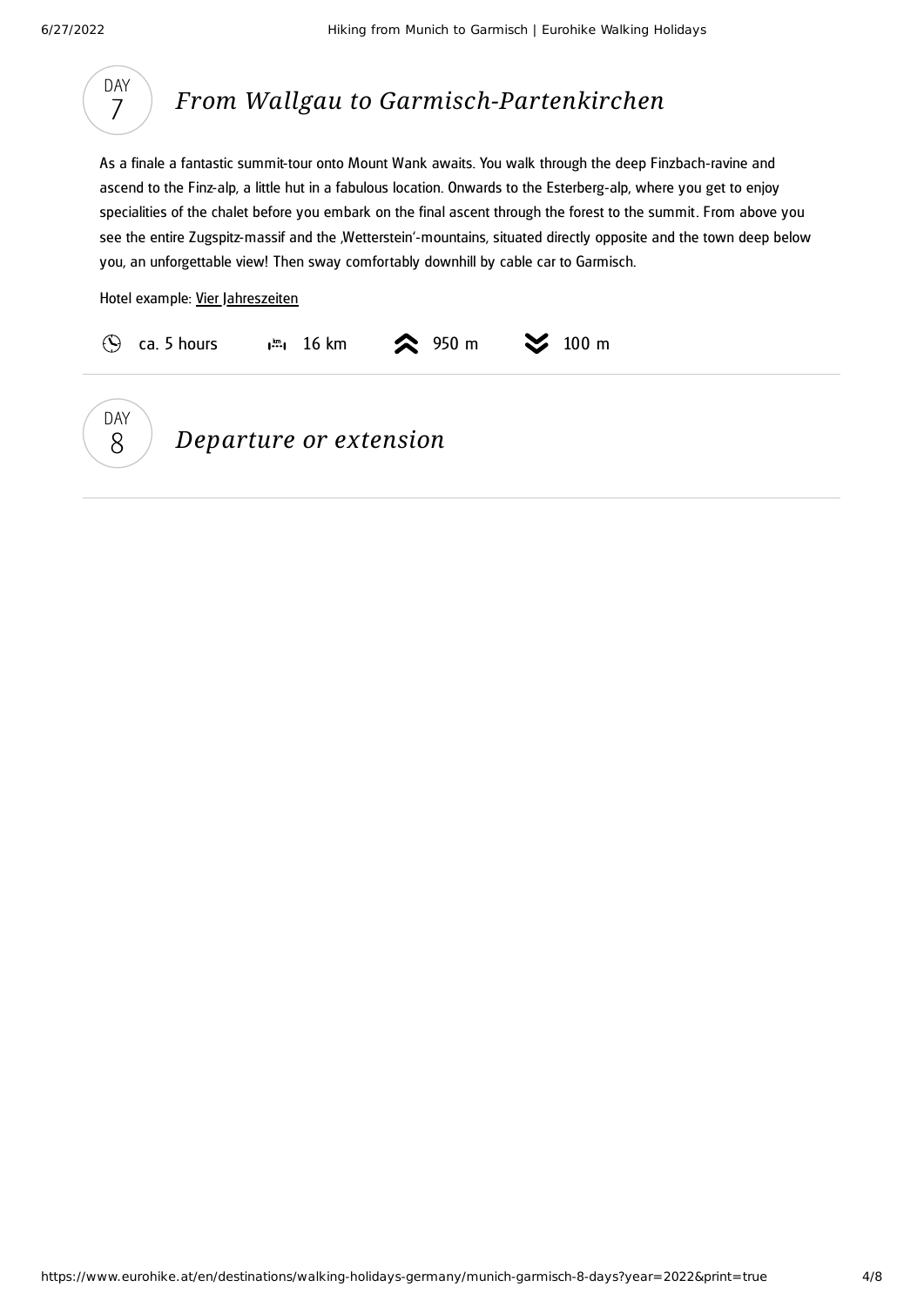

<span id="page-3-0"></span>As a finale a fantastic summit-tour onto Mount Wank awaits. You walk through the deep Finzbach-ravine and ascend to the Finz-alp, a little hut in a fabulous location. Onwards to the Esterberg-alp, where you get to enjoy specialities of the chalet before you embark on the final ascent through the forest to the summit. From above you see the entire Zugspitz-massif and the ,Wetterstein'-mountains, situated directly opposite and the town deep below you, an unforgettable view! Then sway comfortably downhill by cable car to Garmisch.

Hotel example: Vier [Jahreszeiten](https://www.vierjahreszeiten.cc/en/)



*Departure or extension*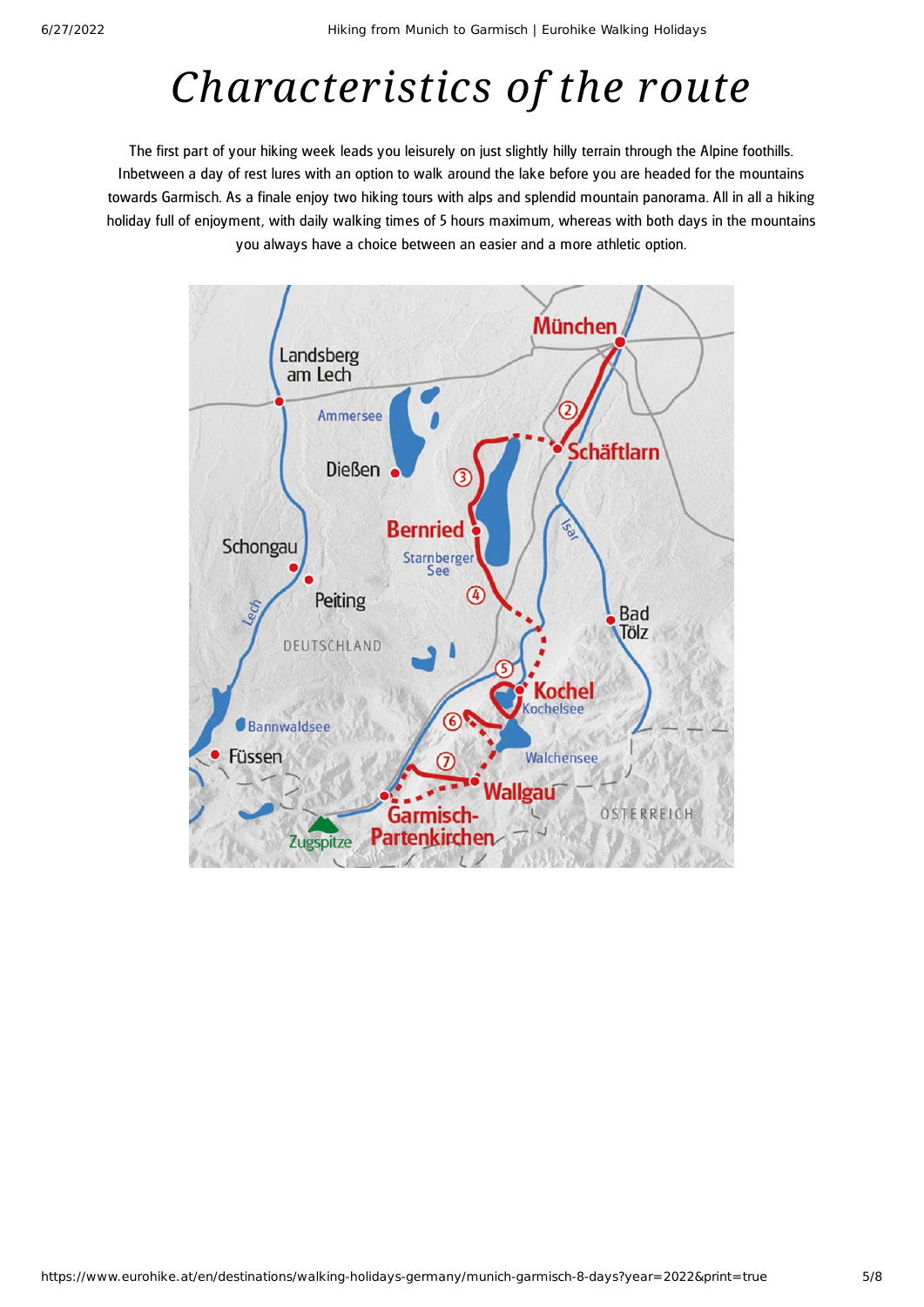## *Characteristics of the route*

The first part of your hiking week leads you leisurely on just slightly hilly terrain through the Alpine foothills. Inbetween a day of rest lures with an option to walk around the lake before you are headed for the mountains towards Garmisch. As a finale enjoy two hiking tours with alps and splendid mountain panorama. All in all a hiking holiday full of enjoyment, with daily walking times of 5 hours maximum, whereas with both days in the mountains you always have a choice between an easier and a more athletic option.

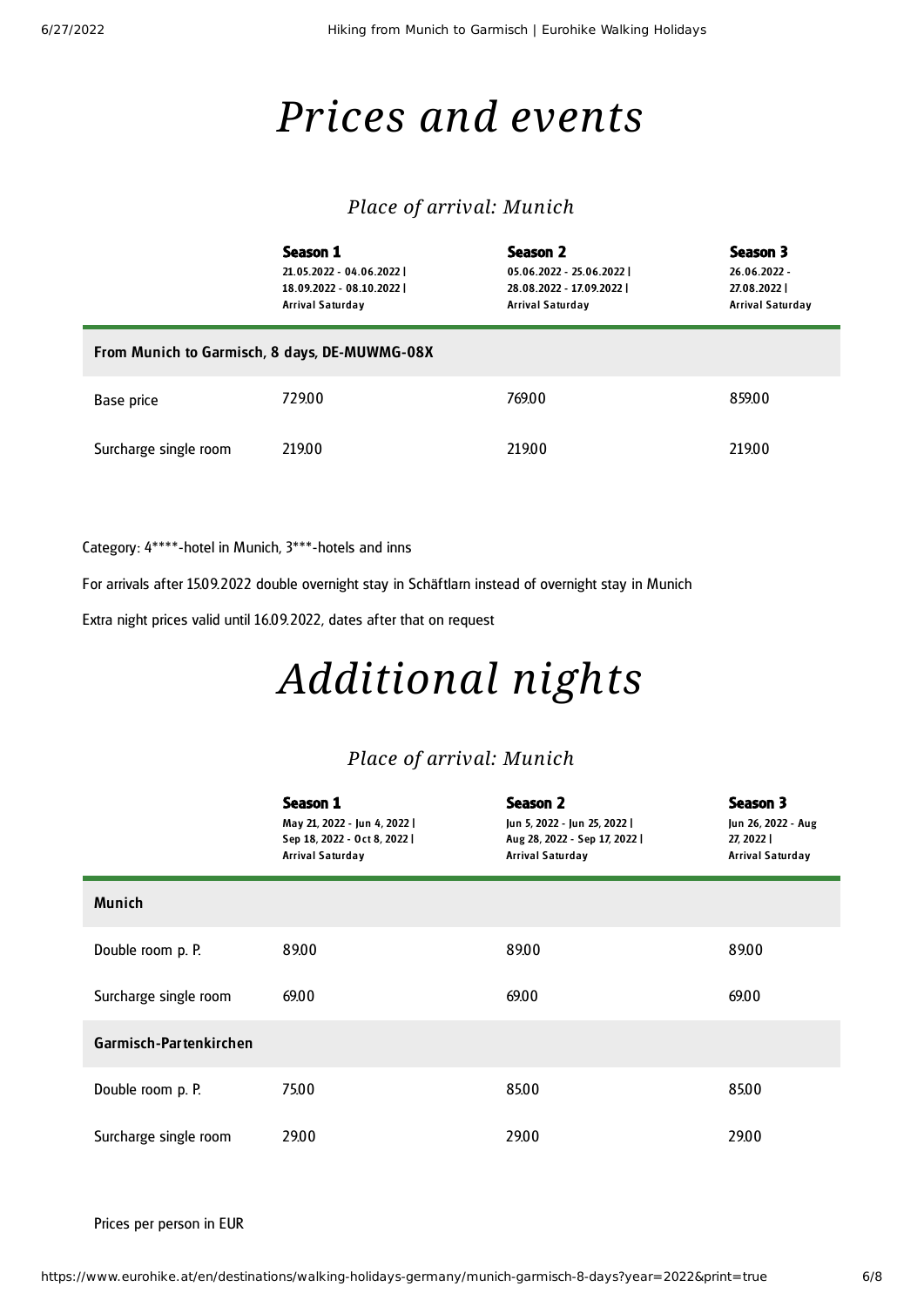## *Prices and events*

#### *Place of arrival: Munich*

|                                               | Season 1<br>21.05.2022 - 04.06.2022  <br>18.09.2022 - 08.10.2022  <br>Arrival Saturday | Season 2<br>05.06.2022 - 25.06.2022  <br>28.08.2022 - 17.09.2022  <br>Arrival Saturday | Season 3<br>26.06.2022 -<br>27.08.2022<br><b>Arrival Saturday</b> |  |  |  |
|-----------------------------------------------|----------------------------------------------------------------------------------------|----------------------------------------------------------------------------------------|-------------------------------------------------------------------|--|--|--|
| From Munich to Garmisch, 8 days, DE-MUWMG-08X |                                                                                        |                                                                                        |                                                                   |  |  |  |
| Base price                                    | 729.00                                                                                 | 769.00                                                                                 | 859.00                                                            |  |  |  |
| Surcharge single room                         | 219.00                                                                                 | 219.00                                                                                 | 219.00                                                            |  |  |  |

Category: 4\*\*\*\*-hotel in Munich, 3\*\*\*-hotels and inns

For arrivals after 15.09.2022 double overnight stay in Schäftlarn instead of overnight stay in Munich

Extra night prices valid until 16.09.2022, dates after that on request

# *Additional nights*

#### *Place of arrival: Munich*

|                        | Season 1<br>May 21, 2022 - Jun 4, 2022  <br>Sep 18, 2022 - Oct 8, 2022  <br><b>Arrival Saturday</b> | <b>Season 2</b><br>Jun 5, 2022 - Jun 25, 2022  <br>Aug 28, 2022 - Sep 17, 2022  <br>Arrival Saturday | Season 3<br>Jun 26, 2022 - Aug<br>27, 2022<br><b>Arrival Saturday</b> |
|------------------------|-----------------------------------------------------------------------------------------------------|------------------------------------------------------------------------------------------------------|-----------------------------------------------------------------------|
| <b>Munich</b>          |                                                                                                     |                                                                                                      |                                                                       |
| Double room p. P.      | 89.00                                                                                               | 89.00                                                                                                | 89.00                                                                 |
| Surcharge single room  | 69.00                                                                                               | 69.00                                                                                                | 69.00                                                                 |
| Garmisch-Partenkirchen |                                                                                                     |                                                                                                      |                                                                       |
| Double room p. P.      | 75.00                                                                                               | 85.00                                                                                                | 85.00                                                                 |
| Surcharge single room  | 29.00                                                                                               | 29.00                                                                                                | 29.00                                                                 |

Prices per person in EUR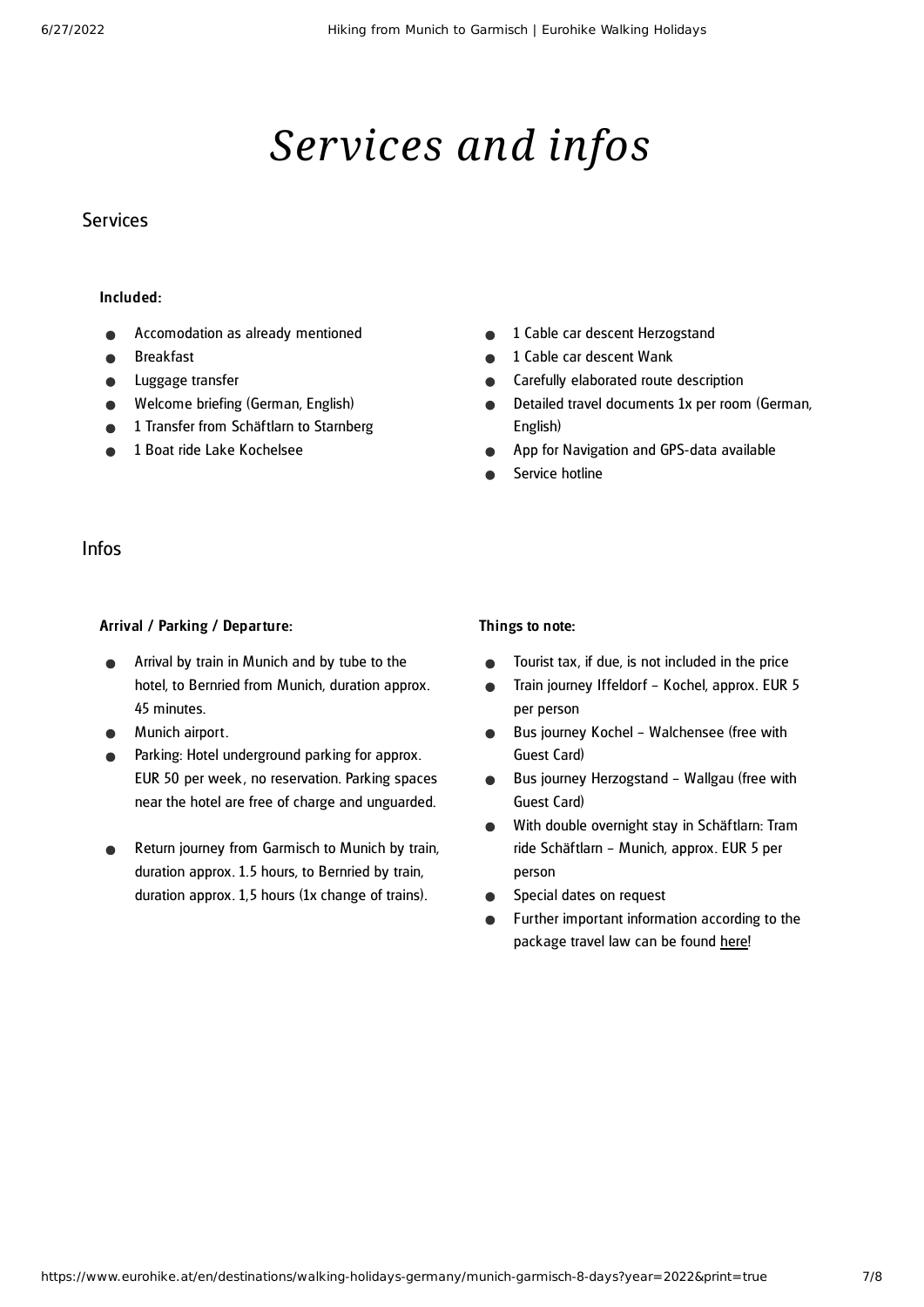# *Services and infos*

#### Services

#### Included:

- Accomodation as already mentioned
- Breakfast
- Luggage transfer
- Welcome briefing (German, English)
- 1 Transfer from Schäftlarn to Starnberg
- 1 Boat ride Lake Kochelsee
- 1 Cable car descent Herzogstand  $\bullet$
- 1 Cable car descent Wank
- Carefully elaborated route description  $\bullet$
- Detailed travel documents 1x per room (German, English)
- App for Navigation and GPS-data available
- Service hotline

#### Infos

#### Arrival / Parking / Departure:

- Arrival by train in Munich and by tube to the hotel, to Bernried from Munich, duration approx. 45 minutes.
- Munich airport.
- Parking: Hotel underground parking for approx. EUR 50 per week , no reservation. Parking spaces near the hotel are free of charge and unguarded.
- Return journey from Garmisch to Munich by train, duration approx. 1.5 hours, to Bernried by train, duration approx. 1,5 hours (1x change of trains).

#### Things to note:

- Tourist tax, if due, is not included in the price  $\bullet$
- Train journey Iffeldorf Kochel, approx. EUR 5  $\bullet$ per person
- Bus journey Kochel Walchensee (free with  $\bullet$ Guest Card)
- Bus journey Herzogstand Wallgau (free with  $\bullet$ Guest Card)
- $\bullet$ With double overnight stay in Schäftlarn: Tram ride Schäftlarn – Munich, approx. EUR 5 per person
- Special dates on request  $\bullet$
- Further important information according to the package travel law can be found [here](https://www.eurohike.at/en/travel-information/before-the-tour/pci)!